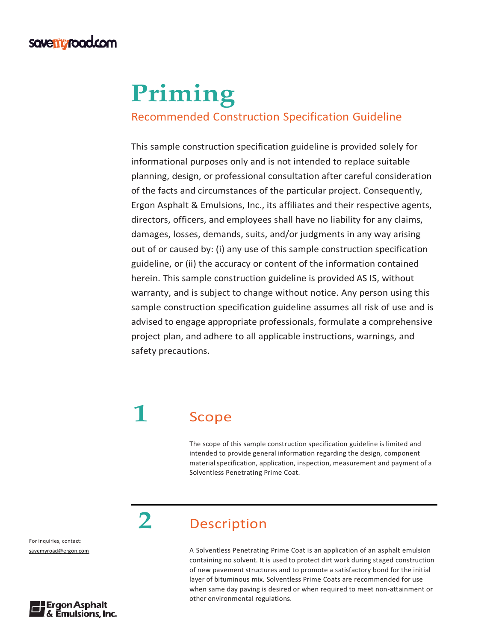#### **sove myrood.com**

# **Priming**

#### Recommended Construction Specification Guideline

This sample construction specification guideline is provided solely for informational purposes only and is not intended to replace suitable planning, design, or professional consultation after careful consideration of the facts and circumstances of the particular project. Consequently, Ergon Asphalt & Emulsions, Inc., its affiliates and their respective agents, directors, officers, and employees shall have no liability for any claims, damages, losses, demands, suits, and/or judgments in any way arising out of or caused by: (i) any use of this sample construction specification guideline, or (ii) the accuracy or content of the information contained herein. This sample construction guideline is provided AS IS, without warranty, and is subject to change without notice. Any person using this sample construction specification guideline assumes all risk of use and is advised to engage appropriate professionals, formulate a comprehensive project plan, and adhere to all applicable instructions, warnings, and safety precautions.

# **1** Scope

The scope of this sample construction specification guideline is limited and intended to provide general information regarding the design, component material specification, application, inspection, measurement and payment of a Solventless Penetrating Prime Coat.

#### **2** Description

A Solventless Penetrating Prime Coat is an application of an asphalt emulsion containing no solvent. It is used to protect dirt work during staged construction of new pavement structures and to promote a satisfactory bond for the initial layer of bituminous mix. Solventless Prime Coats are recommended for use when same day paving is desired or when required to meet non-attainment or other environmental regulations.

For inquiries, contact: savemyroad@ergon.com

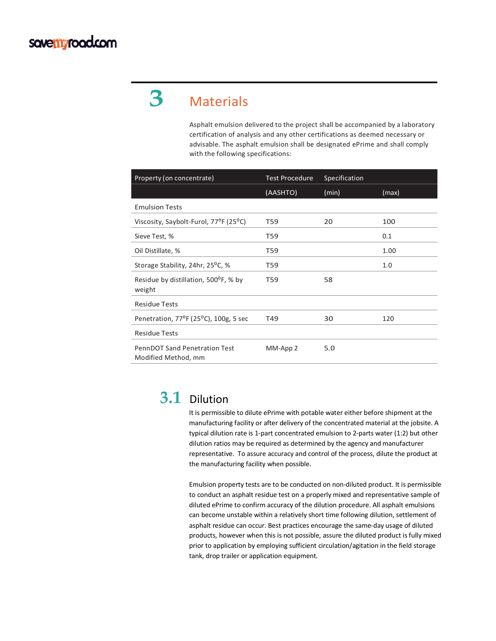## **3** Materials

Asphalt emulsion delivered to the project shall be accompanied by a laboratory certification of analysis and any other certifications as deemed necessary or advisable. The asphalt emulsion shall be designated ePrime and shall comply with the following specifications:

| Property (on concentrate)                                       | <b>Test Procedure</b> | Specification |       |
|-----------------------------------------------------------------|-----------------------|---------------|-------|
|                                                                 | (AASHTO)              | (min)         | (max) |
| <b>Emulsion Tests</b>                                           |                       |               |       |
| Viscosity, Saybolt-Furol, 77 <sup>o</sup> F (25 <sup>o</sup> C) | T59                   | 20            | 100   |
| Sieve Test, %                                                   | T59                   |               | 0.1   |
| Oil Distillate, %                                               | T59                   |               | 1.00  |
| Storage Stability, 24hr, 25 <sup>o</sup> C, %                   | T59                   |               | 1.0   |
| Residue by distillation, 500°F, % by<br>weight                  | T59                   | 58            |       |
| <b>Residue Tests</b>                                            |                       |               |       |
| Penetration, 77 <sup>o</sup> F (25 <sup>o</sup> C), 100g, 5 sec | T49                   | 30            | 120   |
| <b>Residue Tests</b>                                            |                       |               |       |
| <b>PennDOT Sand Penetration Test</b><br>Modified Method, mm     | MM-App 2              | 5.0           |       |

#### **3.1** Dilution

It is permissible to dilute ePrime with potable water either before shipment at the manufacturing facility or after delivery of the concentrated material at the jobsite. A typical dilution rate is 1-part concentrated emulsion to 2-parts water (1:2) but other dilution ratios may be required as determined by the agency and manufacturer representative. To assure accuracy and control of the process, dilute the product at the manufacturing facility when possible.

Emulsion property tests are to be conducted on non-diluted product. It is permissible to conduct an asphalt residue test on a properly mixed and representative sample of diluted ePrime to confirm accuracy of the dilution procedure. All asphalt emulsions can become unstable within a relatively short time following dilution, settlement of asphalt residue can occur. Best practices encourage the same-day usage of diluted products, however when this is not possible, assure the diluted product is fully mixed prior to application by employing sufficient circulation/agitation in the field storage tank, drop trailer or application equipment.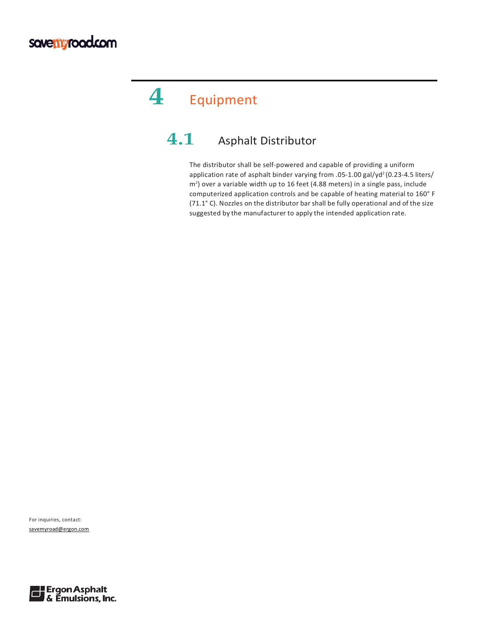# **4** Equipment

### **4.1** Asphalt Distributor

The distributor shall be self-powered and capable of providing a uniform application rate of asphalt binder varying from .05-1.00 gal/yd<sup>2</sup> (0.23-4.5 liters/ m<sup>2</sup>) over a variable width up to 16 feet (4.88 meters) in a single pass, include computerized application controls and be capable of heating material to 160° F (71.1° C). Nozzles on the distributor bar shall be fully operational and of the size suggested by the manufacturer to apply the intended application rate.

For inquiries, contact: savemyroad@ergon.com

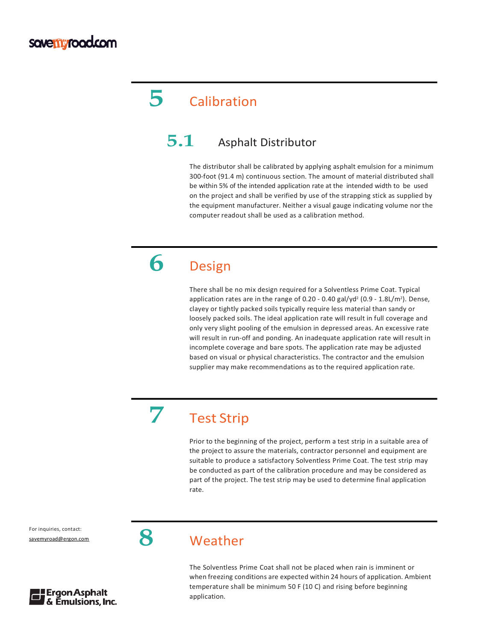## **5** Calibration

#### **5.1** Asphalt Distributor

The distributor shall be calibrated by applying asphalt emulsion for a minimum 300-foot (91.4 m) continuous section. The amount of material distributed shall be within 5% of the intended application rate at the intended width to be used on the project and shall be verified by use of the strapping stick as supplied by the equipment manufacturer. Neither a visual gauge indicating volume nor the computer readout shall be used as a calibration method.

## **6** Design

There shall be no mix design required for a Solventless Prime Coat. Typical application rates are in the range of 0.20 - 0.40 gal/yd<sup>2</sup> (0.9 - 1.8L/m<sup>2</sup>). Dense, clayey or tightly packed soils typically require less material than sandy or loosely packed soils. The ideal application rate will result in full coverage and only very slight pooling of the emulsion in depressed areas. An excessive rate will result in run-off and ponding. An inadequate application rate will result in incomplete coverage and bare spots. The application rate may be adjusted based on visual or physical characteristics. The contractor and the emulsion supplier may make recommendations as to the required application rate.

## **7** Test Strip

Prior to the beginning of the project, perform a test strip in a suitable area of the project to assure the materials, contractor personnel and equipment are suitable to produce a satisfactory Solventless Prime Coat. The test strip may be conducted as part of the calibration procedure and may be considered as part of the project. The test strip may be used to determine final application rate.

For inquiries, contact:



**8**



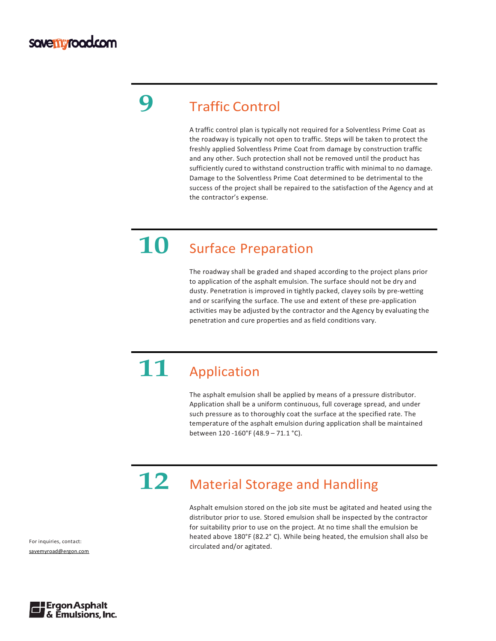## **9** Traffic Control

A traffic control plan is typically not required for a Solventless Prime Coat as the roadway is typically not open to traffic. Steps will be taken to protect the freshly applied Solventless Prime Coat from damage by construction traffic and any other. Such protection shall not be removed until the product has sufficiently cured to withstand construction traffic with minimal to no damage. Damage to the Solventless Prime Coat determined to be detrimental to the success of the project shall be repaired to the satisfaction of the Agency and at the contractor's expense.

## **10** Surface Preparation

The roadway shall be graded and shaped according to the project plans prior to application of the asphalt emulsion. The surface should not be dry and dusty. Penetration is improved in tightly packed, clayey soils by pre-wetting and or scarifying the surface. The use and extent of these pre-application activities may be adjusted by the contractor and the Agency by evaluating the penetration and cure properties and as field conditions vary.

# **11** Application

The asphalt emulsion shall be applied by means of a pressure distributor. Application shall be a uniform continuous, full coverage spread, and under such pressure as to thoroughly coat the surface at the specified rate. The temperature of the asphalt emulsion during application shall be maintained between 120 -160°F (48.9 – 71.1 °C).

# 12 Material Storage and Handling

Asphalt emulsion stored on the job site must be agitated and heated using the distributor prior to use. Stored emulsion shall be inspected by the contractor for suitability prior to use on the project. At no time shall the emulsion be heated above 180°F (82.2° C). While being heated, the emulsion shall also be circulated and/or agitated.

For inquiries, contact: savemyroad@ergon.com